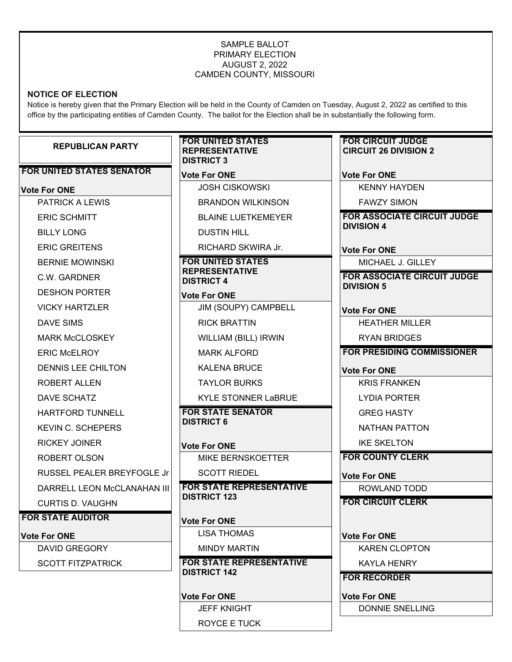#### SAMPLE BALLOT PRIMARY ELECTION AUGUST 2, 2022 CAMDEN COUNTY, MISSOURI

# **NOTICE OF ELECTION**

Notice is hereby given that the Primary Election will be held in the County of Camden on Tuesday, August 2, 2022 as certified to this office by the participating entities of Camden County. The ballot for the Election shall be in substantially the following form.

| <b>REPUBLICAN PARTY</b>                        | <b>FOR UNITED STATES</b><br><b>REPRESENTATIVE</b><br><b>DISTRICT 3</b> | <b>FOR CIRCUIT JUDGE</b><br><b>CIRCUIT 26 DIVISION 2</b> |
|------------------------------------------------|------------------------------------------------------------------------|----------------------------------------------------------|
| <b>FOR UNITED STATES SENATOR</b>               | <b>Vote For ONE</b>                                                    | <b>Vote For ONE</b>                                      |
| <b>Vote For ONE</b>                            | $\circlearrowright$ JOSH CISKOWSKI                                     | $\circlearrowright$ KENNY HAYDEN                         |
| $\circlearrowright$ PATRICK A LEWIS            | $\circlearrowright$ BRANDON WILKINSON                                  | $\circlearrowright$ FAWZY SIMON                          |
| $\circlearrowright$ ERIC SCHMITT               | <b>BLAINE LUETKEMEYER</b><br>◯                                         | <b>FOR ASSOCIATE CIRCUIT JUDGE</b>                       |
| $\circlearrowright$ billy long                 | <b>DUSTIN HILL</b><br>$\cup$                                           | <b>DIVISION 4</b>                                        |
| $\circlearrowright$ eric greitens              | RICHARD SKWIRA Jr.                                                     | <b>Vote For ONE</b>                                      |
| $\circlearrowright$ bernie mowinski            | <b>FOR UNITED STATES</b>                                               | $\bigcirc$ MICHAEL J. GILLEY                             |
| $\circlearrowright$ c.w. gardner               | <b>REPRESENTATIVE</b><br><b>DISTRICT 4</b>                             | <b>FOR ASSOCIATE CIRCUIT JUDGE</b>                       |
| $\circlearrowright$ deshon porter              | <b>Vote For ONE</b>                                                    | <b>DIVISION 5</b>                                        |
| $\circlearrowright$ vicky hartzler             | JIM (SOUPY) CAMPBELL<br>◯                                              | <b>Vote For ONE</b>                                      |
| $\circlearrowright$ dave sims                  | $\circlearrowright$ RICK BRATTIN                                       | $\circlearrowright$ HEATHER MILLER                       |
| $\circlearrowright$ MARK McCLOSKEY             | $\circlearrowright$ WILLIAM (BILL) IRWIN                               | $\circlearrowright$ RYAN BRIDGES                         |
| $\circlearrowright$ ERIC McELROY               | <b>MARK ALFORD</b><br>◯                                                | <b>FOR PRESIDING COMMISSIONER</b>                        |
| $\circlearrowright$ dennis lee chilton         | <b>KALENA BRUCE</b><br>C)                                              | <b>Vote For ONE</b>                                      |
| $\circlearrowright$ ROBERT ALLEN               | <b>TAYLOR BURKS</b><br>$\cup$                                          | $\circlearrowright$ KRIS FRANKEN                         |
| $\circlearrowright$ dave schatz                | <b>KYLE STONNER LaBRUE</b>                                             | $\circlearrowright$ Lydia porter                         |
| $\circlearrowright$ HARTFORD TUNNELL           | <b>FOR STATE SENATOR</b>                                               | $\circlearrowright$ GREG HASTY                           |
| $\circlearrowright$ KEVIN C. SCHEPERS          | <b>DISTRICT 6</b>                                                      | $\circlearrowright$ nathan patton                        |
| $\circlearrowright$ rickey joiner              | <b>Vote For ONE</b>                                                    | $\circlearrowright$ ike skelton                          |
| $\circlearrowright$ robert olson               | <b>MIKE BERNSKOETTER</b><br>C)                                         | <b>FOR COUNTY CLERK</b>                                  |
| $\circlearrowright$ RUSSEL PEALER BREYFOGLE Jr | $\circlearrowright$ SCOTT RIEDEL                                       | <b>Vote For ONE</b>                                      |
| DARRELL LEON McCLANAHAN III<br>CD.             | <b>FOR STATE REPRESENTATIVE</b>                                        | $\circlearrowright$ ROWLAND TODD                         |
| $\circlearrowright$ curtis D. Vaughn           | <b>DISTRICT 123</b>                                                    | <b>FOR CIRCUIT CLERK</b>                                 |
| <b>FOR STATE AUDITOR</b>                       | <b>Vote For ONE</b>                                                    |                                                          |
| <b>Vote For ONE</b>                            | $\circlearrowright$ lisa thomas                                        | <b>Vote For ONE</b>                                      |
| $\circlearrowright$ david gregory              | <b>MINDY MARTIN</b>                                                    | $\circlearrowright$ KAREN CLOPTON                        |
| $\circlearrowright$ scott fitzpatrick          | <b>FOR STATE REPRESENTATIVE</b><br><b>DISTRICT 142</b>                 | $\circlearrowright$ KAYLA HENRY                          |
|                                                |                                                                        | <b>FOR RECORDER</b>                                      |
|                                                | <b>Vote For ONE</b>                                                    | <b>Vote For ONE</b>                                      |
|                                                | $\bigcirc$ jeff knight                                                 | O DONNIE SNELLING                                        |

O ROYCE E TUCK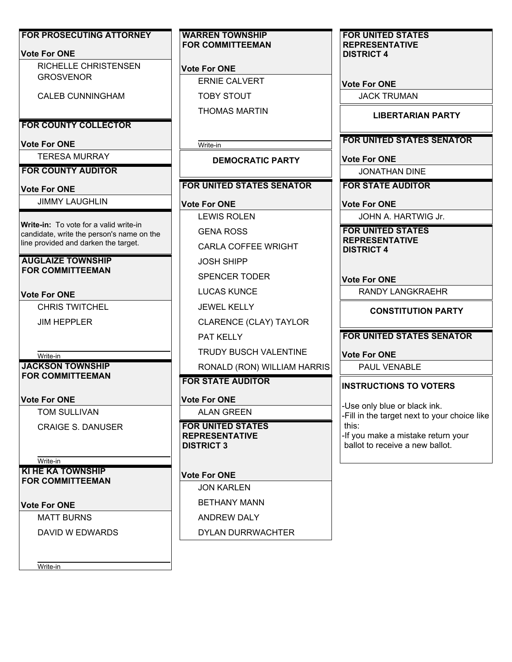| <b>FOR PROSECUTING ATTORNEY</b><br><b>Vote For ONE</b>                              | <b>WARREN TOWNSHIP</b><br><b>FOR COMMITTEEMAN</b>        | <b>FOR UNITED STATES</b><br><b>REPRESENTATIVE</b>                            |
|-------------------------------------------------------------------------------------|----------------------------------------------------------|------------------------------------------------------------------------------|
| <b>RICHELLE CHRISTENSEN</b>                                                         |                                                          | <b>DISTRICT 4</b>                                                            |
| <b>GROSVENOR</b>                                                                    | <b>Vote For ONE</b><br>$\circlearrowright$ ERNIE CALVERT |                                                                              |
|                                                                                     |                                                          | <b>Vote For ONE</b>                                                          |
| <b>CALEB CUNNINGHAM</b>                                                             | <b>TOBY STOUT</b>                                        | <b>JACK TRUMAN</b>                                                           |
|                                                                                     | $\circlearrowright$ Thomas martin                        | <b>LIBERTARIAN PARTY</b>                                                     |
| <b>FOR COUNTY COLLECTOR</b>                                                         |                                                          |                                                                              |
| <b>Vote For ONE</b>                                                                 | Write-in                                                 | <b>FOR UNITED STATES SENATOR</b>                                             |
| <b>TERESA MURRAY</b>                                                                | <b>DEMOCRATIC PARTY</b>                                  | <b>Vote For ONE</b>                                                          |
| <b>FOR COUNTY AUDITOR</b>                                                           |                                                          | <b>JONATHAN DINE</b>                                                         |
| <b>Vote For ONE</b>                                                                 | <b>FOR UNITED STATES SENATOR</b>                         | <b>FOR STATE AUDITOR</b>                                                     |
| <b>JIMMY LAUGHLIN</b>                                                               | <b>Vote For ONE</b>                                      | <b>Vote For ONE</b>                                                          |
|                                                                                     | <b>LEWIS ROLEN</b>                                       | JOHN A. HARTWIG Jr.                                                          |
| Write-in: To vote for a valid write-in<br>candidate, write the person's name on the | $\circlearrowright$ GENA ROSS                            | <b>FOR UNITED STATES</b>                                                     |
| line provided and darken the target.                                                | <b>CARLA COFFEE WRIGHT</b>                               | <b>REPRESENTATIVE</b><br><b>DISTRICT 4</b>                                   |
| <b>AUGLAIZE TOWNSHIP</b>                                                            | <b>JOSH SHIPP</b>                                        |                                                                              |
| <b>FOR COMMITTEEMAN</b>                                                             | <b>SPENCER TODER</b>                                     |                                                                              |
|                                                                                     | $\circlearrowright$ LUCAS KUNCE                          | <b>Vote For ONE</b><br><b>RANDY LANGKRAEHR</b>                               |
| <b>Vote For ONE</b>                                                                 |                                                          |                                                                              |
| <b>CHRIS TWITCHEL</b>                                                               | <b>JEWEL KELLY</b>                                       | <b>CONSTITUTION PARTY</b>                                                    |
| <b>JIM HEPPLER</b>                                                                  | $\circlearrowright$ CLARENCE (CLAY) TAYLOR               |                                                                              |
|                                                                                     | PAT KELLY                                                | <b>FOR UNITED STATES SENATOR</b>                                             |
| Write-in                                                                            | $\circlearrowright$ TRUDY BUSCH VALENTINE                | <b>Vote For ONE</b>                                                          |
| <b>JACKSON TOWNSHIP</b><br><b>FOR COMMITTEEMAN</b>                                  | RONALD (RON) WILLIAM HARRIS                              | PAUL VENABLE                                                                 |
|                                                                                     | <b>FOR STATE AUDITOR</b>                                 | <b>INSTRUCTIONS TO VOTERS</b>                                                |
| <b>Vote For ONE</b>                                                                 | <b>Vote For ONE</b>                                      |                                                                              |
| TOM SULLIVAN                                                                        | <b>ALAN GREEN</b>                                        | -Use only blue or black ink.<br>-Fill in the target next to your choice like |
| $\circlearrowright$ CRAIGE S. DANUSER                                               | <b>FOR UNITED STATES</b>                                 | this:                                                                        |
|                                                                                     | <b>REPRESENTATIVE</b><br><b>DISTRICT 3</b>               | -If you make a mistake return your<br>ballot to receive a new ballot.        |
| Write-in                                                                            |                                                          |                                                                              |
| <b>KI HE KA TOWNSHIP</b>                                                            | <b>Vote For ONE</b>                                      |                                                                              |
| <b>FOR COMMITTEEMAN</b>                                                             | <b>JON KARLEN</b>                                        |                                                                              |
|                                                                                     | <b>BETHANY MANN</b>                                      |                                                                              |
| <b>Vote For ONE</b>                                                                 |                                                          |                                                                              |
| <b>MATT BURNS</b>                                                                   | $\circlearrowright$ andrew daly                          |                                                                              |
| DAVID W EDWARDS                                                                     | <b>DYLAN DURRWACHTER</b>                                 |                                                                              |
|                                                                                     |                                                          |                                                                              |
| Write-in                                                                            |                                                          |                                                                              |